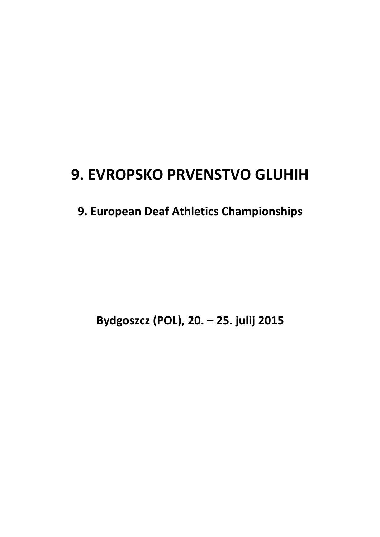# **9. EVROPSKO PRVENSTVO GLUHIH**

# **9. European Deaf Athletics Championships**

**Bydgoszcz (POL), 20. – 25. julij 2015**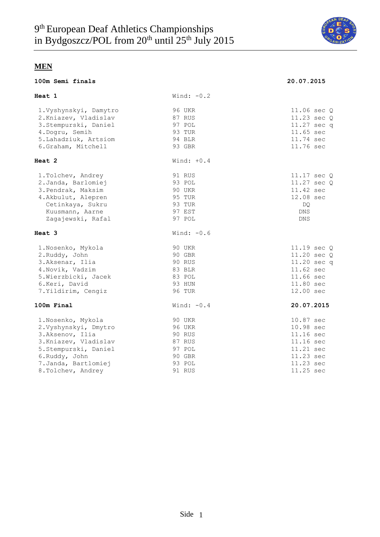

| 100m Semi finals                                                                                                                                                               |                                                                                     | 20.07.2015                                                                                           |
|--------------------------------------------------------------------------------------------------------------------------------------------------------------------------------|-------------------------------------------------------------------------------------|------------------------------------------------------------------------------------------------------|
| Heat 1                                                                                                                                                                         | Wind: $-0.2$                                                                        |                                                                                                      |
| 1. Vyshynskyi, Damytro<br>2. Kniazev, Vladislav<br>3. Stempurski, Daniel<br>4.Dogru, Semih<br>5. Lahadziuk, Artsiom<br>6.Graham, Mitchell                                      | 96 UKR<br>87 RUS<br>97 POL<br>93 TUR<br>94 BLR<br>93 GBR                            | 11.06 sec 0<br>11.23 sec Q<br>11.27 sec q<br>11.65 sec<br>11.74 sec<br>11.76 sec                     |
| Heat 2                                                                                                                                                                         | Wind: $+0.4$                                                                        |                                                                                                      |
| 1. Tolchev, Andrey<br>2. Janda, Barlomiej<br>3. Pendrak, Maksim<br>4. Akbulut, Alepren<br>Cetinkaya, Sukru<br>Kuusmann, Aarne<br>Zagajewski, Rafal                             | 91 RUS<br>93 POL<br>90 UKR<br>95 TUR<br>93 TUR<br>97 EST<br>97 POL                  | 11.17 sec Q<br>11.27 sec Q<br>11.42 sec<br>12.08 sec<br>DQ<br>DNS<br><b>DNS</b>                      |
| Heat 3                                                                                                                                                                         | Wind: $-0.6$                                                                        |                                                                                                      |
| 1. Nosenko, Mykola<br>2.Ruddy, John<br>3.Aksenar, Ilia<br>4. Novik, Vadzim<br>5. Wierzbicki, Jacek<br>6.Keri, David<br>7. Yildirim, Cengiz                                     | 90 UKR<br>90 GBR<br>90 RUS<br>83 BLR<br>83 POL<br>93 HUN<br><b>96 TUR</b>           | 11.19 sec Q<br>11.20 sec Q<br>11.20 sec q<br>11.62 sec<br>11.66 sec<br>11.80 sec<br>12.00 sec        |
| 100m Final                                                                                                                                                                     | Wind: $-0.4$                                                                        | 20.07.2015                                                                                           |
| 1.Nosenko, Mykola<br>2. Vyshynskyi, Dmytro<br>3.Aksenov, Ilia<br>3. Kniazev, Vladislav<br>5. Stempurski, Daniel<br>6.Ruddy, John<br>7. Janda, Bartlomiej<br>8. Tolchev, Andrey | 90 UKR<br><b>96 UKR</b><br>90 RUS<br>87 RUS<br>97 POL<br>90 GBR<br>93 POL<br>91 RUS | 10.87 sec<br>10.98 sec<br>11.16 sec<br>11.16 sec<br>11.21 sec<br>11.23 sec<br>11.23 sec<br>11.25 sec |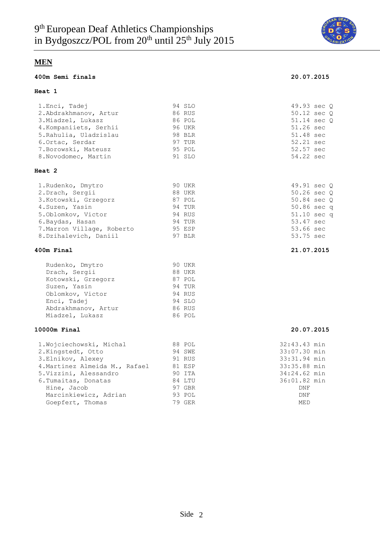

#### **400m Semi finals 20.07.2015**

#### **Heat 1**

| 1. Enci, Tadej                 | 94 SLO | 49.93 sec Q  |
|--------------------------------|--------|--------------|
| 2.Abdrakhmanov, Artur          | 86 RUS | 50.12 sec Q  |
| 3. Miadzel, Lukasz             | 86 POL | 51.14 sec Q  |
| 4. Kompaniiets, Serhii         | 96 UKR | 51.26 sec    |
| 5. Rahulia, Uladzislau         | 98 BLR | 51.48 sec    |
| 6.Ortac, Serdar                | 97 TUR | 52.21 sec    |
| 7. Borowski, Mateusz           | 95 POL | 52.57 sec    |
| 8. Novodomec, Martin           | 91 SLO | 54.22 sec    |
| <b>Heat 2</b>                  |        |              |
| 1. Rudenko, Dmytro             | 90 UKR | 49.91 sec Q  |
| 2. Drach, Sergii               | 88 UKR | 50.26 sec Q  |
| 3. Kotowski, Grzegorz          | 87 POL | 50.84 sec Q  |
| 4. Suzen, Yasin                | 94 TUR | 50.86 sec q  |
| 5. Oblomkov, Victor            | 94 RUS | 51.10 sec q  |
| 6. Baydas, Hasan               | 94 TUR | 53.47 sec    |
| 7. Marron Village, Roberto     | 95 ESP | 53.66 sec    |
| 8. Dzihalevich, Daniil         | 97 BLR | 53.75 sec    |
| 400m Final                     |        | 21.07.2015   |
| Rudenko, Dmytro                | 90 UKR |              |
| Drach, Sergii                  | 88 UKR |              |
| Kotowski, Grzegorz             | 87 POL |              |
| Suzen, Yasin                   | 94 TUR |              |
| Oblomkov, Victor               | 94 RUS |              |
| Enci, Tadej                    | 94 SLO |              |
| Abdrakhmanov, Artur            | 86 RUS |              |
| Miadzel, Lukasz                | 86 POL |              |
| 10000m Final                   |        | 20.07.2015   |
| 1. Wojciechowski, Michal       | 88 POL | 32:43.43 min |
| 2. Kingstedt, Otto             | 94 SWE | 33:07.30 min |
| 3.Elnikov, Alexey              | 91 RUS | 33:31.94 min |
| 4. Martinez Almeida M., Rafael | 81 ESP | 33:35.88 min |
| 5. Vizzini, Alessandro         | 90 ITA | 34:24.62 min |
| 6. Tumaitas, Donatas           | 84 LTU | 36:01.82 min |
| Hine, Jacob                    | 97 GBR | DNF          |

Marcinkiewicz, Adrian 193 POL 1996 POL DNF Goepfert, Thomas 79 GER MED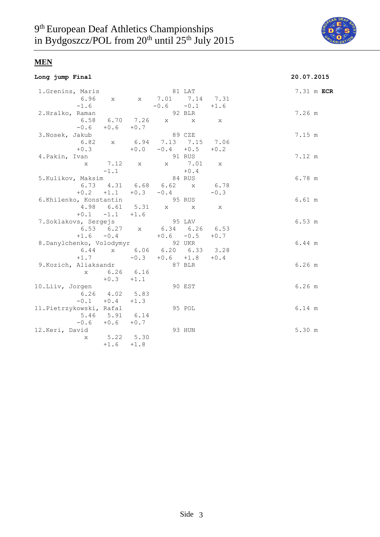

#### **Long jump Final 20.07.2015**

| 1.Grenins, Maris                |                      |        | 81 LAT                             |        |        |            |  |
|---------------------------------|----------------------|--------|------------------------------------|--------|--------|------------|--|
|                                 |                      |        |                                    |        |        | 7.31 m ECR |  |
|                                 |                      |        | 6.96 x x 7.01 7.14 7.31            |        |        |            |  |
| $-1.6$                          |                      |        | $-0.6 -0.1 +1.6$                   |        |        |            |  |
| 2.Hralko, Raman                 |                      |        |                                    | 92 BLR |        | 7.26 m     |  |
|                                 |                      |        | 6.58 6.70 7.26 x x x               |        |        |            |  |
|                                 | $-0.6 + 0.6 + 0.7$   |        |                                    |        |        |            |  |
| 3. Nosek, Jakub                 |                      |        | 89 CZE                             |        |        | 7.15 m     |  |
|                                 |                      |        | 6.82 x 6.94 7.13 7.15 7.06         |        |        |            |  |
|                                 | $+0.3$               |        | $+0.0 -0.4 +0.5$                   |        | $+0.2$ |            |  |
| 4. Pakin, Ivan                  |                      |        |                                    | 91 RUS |        | 7.12 m     |  |
| X                               |                      |        | 7.12 x x 7.01 x                    |        |        |            |  |
|                                 | $-1.1$               |        |                                    | $+0.4$ |        |            |  |
| 5.Kulikov, Maksim               |                      |        | 84 RUS                             |        |        | 6.78 m     |  |
|                                 |                      |        | 6.73 $4.31$ 6.68 6.62 x            |        | 6.78   |            |  |
|                                 |                      |        | $+0.2$ $+1.1$ $+0.3$ $-0.4$        |        | $-0.3$ |            |  |
| 6.Khilenko, Konstantin          |                      |        | 95 RUS                             |        |        | 6.61 m     |  |
|                                 |                      |        | 4.98  6.61  5.31  x  x  x          |        |        |            |  |
|                                 | $+0.1 -1.1 +1.6$     |        |                                    |        |        |            |  |
| 7.Soklakovs, Sergejs            |                      |        | 95 LAV                             |        |        | 6.53 m     |  |
|                                 |                      |        | 6.53 6.27 x 6.34 6.26 6.53         |        |        |            |  |
|                                 |                      |        | $+1.6$ $-0.4$ $+0.6$ $-0.5$ $+0.7$ |        |        |            |  |
| 8.Danylchenko, Volodymyr 92 UKR |                      |        |                                    |        |        | 6.44 m     |  |
|                                 |                      |        | 6.44 x 6.06 6.20 6.33 3.28         |        |        |            |  |
|                                 | $+1.7$               |        | $-0.3 + 0.6 + 1.8 + 0.4$           |        |        |            |  |
| 9. Kozich, Aliaksandr           |                      |        | 87 BLR                             |        |        | $6.26$ m   |  |
|                                 | x 6.26 6.16          |        |                                    |        |        |            |  |
|                                 | $+0.3 +1.1$          |        |                                    |        |        |            |  |
|                                 |                      |        |                                    |        |        |            |  |
| 10.Liiv, Jorgen                 | $6.26$ $4.02$ $5.83$ |        |                                    | 90 EST |        | $6.26$ m   |  |
|                                 |                      |        |                                    |        |        |            |  |
|                                 | $-0.1 + 0.4 + 1.3$   |        |                                    |        |        |            |  |
| 11. Pietrzykowski, Rafal        |                      |        |                                    | 95 POL |        | 6.14 m     |  |
|                                 | 5.46 5.91 6.14       |        |                                    |        |        |            |  |
|                                 | $-0.6 + 0.6 + 0.7$   |        |                                    |        |        |            |  |
| 12.Keri, David                  |                      |        |                                    | 93 HUN |        | 5.30 m     |  |
| $X -$                           | $5.22$ $5.30$        |        |                                    |        |        |            |  |
|                                 | $+1.6$               | $+1.8$ |                                    |        |        |            |  |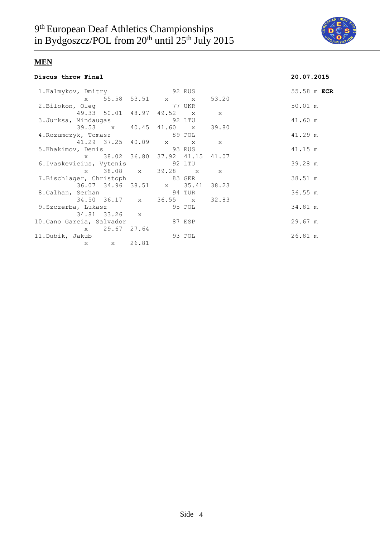

#### **Discus throw Final 20.07.2015**

| 1.Kalmykov, Dmitry 92 RUS       |              |               |                                 |        |  | 55.58 m ECR |  |
|---------------------------------|--------------|---------------|---------------------------------|--------|--|-------------|--|
|                                 |              |               | x 55.58 53.51 x x 53.20         |        |  |             |  |
| 2.Bilokon, Oleg 37 UKR          |              |               |                                 |        |  | 50.01 m     |  |
|                                 |              |               | 49.33 50.01 48.97 49.52 x x     |        |  |             |  |
|                                 |              |               |                                 |        |  | 41.60 m     |  |
|                                 |              |               | 39.53 x 40.45 41.60 x 39.80     |        |  |             |  |
| 4. Rozumczyk, Tomasz 69 POL     |              |               |                                 |        |  | 41.29 m     |  |
| 41.29 37.25 40.09 x x x         |              |               |                                 |        |  |             |  |
| 5.Khakimov, Denis 33 RUS        |              |               |                                 |        |  | 41.15 m     |  |
|                                 |              |               | x 38.02 36.80 37.92 41.15 41.07 |        |  |             |  |
| 6. Ivaskevicius, Vytenis 92 LTU |              |               |                                 |        |  | 39.28 m     |  |
|                                 |              |               | x 38.08 x 39.28 x x             |        |  |             |  |
| 7.Bischlager, Christoph 83 GER  |              |               |                                 |        |  | 38.51 m     |  |
|                                 |              |               | 36.07 34.96 38.51 x 35.41 38.23 |        |  |             |  |
| 8. Calhan, Serhan 8. 04 TUR     |              |               |                                 |        |  | 36.55 m     |  |
|                                 |              |               | 34.50 36.17 x 36.55 x 32.83     |        |  |             |  |
| 9.Szczerba, Lukasz 65 95 POL    |              |               |                                 |        |  | 34.81 m     |  |
|                                 |              | 34.81 33.26 x |                                 |        |  |             |  |
| 10.Cano Garcia, Salvador        |              |               | 87 ESP                          |        |  | $29.67$ m   |  |
|                                 |              | x 29.67 27.64 |                                 |        |  |             |  |
| 11.Dubik, Jakub                 |              |               |                                 | 93 POL |  | 26.81 m     |  |
|                                 | $\mathbf{x}$ | x 26.81       |                                 |        |  |             |  |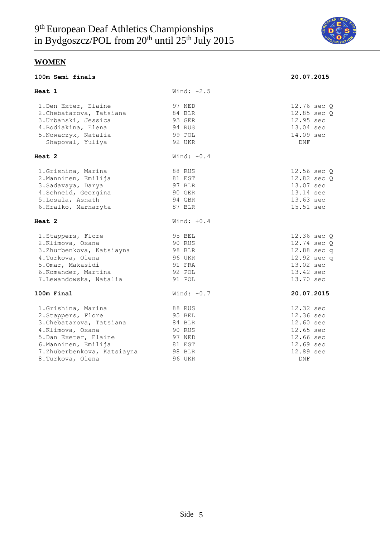

**100m Semi finals 20.07.2015**

## **WOMEN**

|  | 100m Semi finals |
|--|------------------|
|  |                  |

| Heat 1                     | Wind: $-2.5$  |             |
|----------------------------|---------------|-------------|
| 1. Den Exter, Elaine       | 97 NED        | 12.76 sec Q |
| 2. Chebatarova, Tatsiana   | 84 BLR        | 12.85 sec Q |
| 3. Urbanski, Jessica       | 93 GER        | 12.95 sec   |
| 4. Bodiakina, Elena        | 94 RUS        | 13.04 sec   |
| 5. Nowaczyk, Natalia       | 99 POL        | 14.09 sec   |
| Shapoval, Yuliya           | 92 UKR        | <b>DNF</b>  |
| Heat 2                     | Wind: $-0.4$  |             |
| 1.Grishina, Marina         | 88 RUS        | 12.56 sec Q |
| 2. Manninen, Emilija       | 81 EST        | 12.82 sec Q |
| 3. Sadavaya, Darya         | 97 BLR        | 13.07 sec   |
| 4. Schneid, Georgina       | 90 GER        | 13.14 sec   |
| 5.Losala, Asnath           | 94 GBR        | 13.63 sec   |
| 6.Hralko, Marharyta        | 87 BLR        | 15.51 sec   |
| Heat 2                     | Wind: $+0.4$  |             |
| 1. Stappers, Flore         | 95 BEL        | 12.36 sec Q |
| 2.Klimova, Oxana           | 90 RUS        | 12.74 sec Q |
| 3.Zhurbenkova, Katsiayna   | 98 BLR        | 12.88 sec q |
| 4. Turkova, Olena          | <b>96 UKR</b> | 12.92 sec q |
| 5.0mar, Makasidi           | 91 FRA        | 13.02 sec   |
| 6.Komander, Martina        | 92 POL        | 13.42 sec   |
| 7. Lewandowska, Natalia    | 91 POL        | 13.70 sec   |
| 100m Final                 | Wind: $-0.7$  | 20.07.2015  |
| 1. Grishina, Marina        | 88 RUS        | 12.32 sec   |
| 2. Stappers, Flore         | 95 BEL        | 12.36 sec   |
| 3. Chebatarova, Tatsiana   | 84 BLR        | 12.60 sec   |
| 4.Klimova, Oxana           | 90 RUS        | 12.65 sec   |
| 5. Dan Exeter, Elaine      | 97 NED        | 12.66 sec   |
| 6. Manninen, Emilija       | 81 EST        | 12.69 sec   |
| 7.Zhuberbenkova, Katsiayna | 98 BLR        | 12.89 sec   |
| 8. Turkova, Olena          | 96 UKR        | <b>DNF</b>  |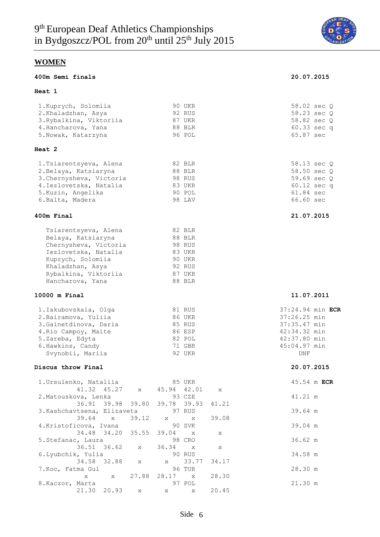

#### **400m Semi finals 20.07.2015**

#### **Heat 1**

### 1.Kuprych, Solomiia 90 UKR 58.02 sec Q 2.Khaladzhan, Asya 92 RUS 58.23 sec Q 3.Rybalkina, Viktoriia 87 UKR 58.82 sec Q 4.Hancharova, Yana 88 BLR 60.33 sec q 5.Nowak, Katarzyna 96 POL 65.87 sec **Heat 2**  1.Tsiarentsyeva, Alena 82 BLR 58.13 sec Q 2.Belaya, Katsiaryna 88 BLR 58.50 sec Q 3.Chernysheva, Victoria 98 RUS 59.69 sec Q 4.Iezlovetska, Natalia and 83 UKR 60.12 sec q 5.Kuzin, Angelika 90 POL 61.84 sec 6.Balta, Madera 98 LAV 66.60 sec

#### **400m Final 21.07.2015**

| Tsiarentsyeva, Alena  | 82 BLR        |
|-----------------------|---------------|
| Belaya, Katsiaryna    | 88 BLR        |
| Chernysheva, Victoria | 98 RUS        |
| Iezlovetska, Natalia  | 83 UKR        |
| Kuprych, Solomiia     | <b>90 UKR</b> |
| Khaladzhan, Asya      | 92 RUS        |
| Rybalkina, Viktoriia  | 87 UKR        |
| Hancharova, Yana      | 88 BLR        |
|                       |               |

#### **10000 m Final 11.07.2011**

| 81 RUS | 37:24.94 min ECR |
|--------|------------------|
| 86 UKR | 37:26.25 min     |
| 85 RUS | 37:35.47 min     |
| 86 ESP | 42:34.32 min     |
| 82 POL | 42:37.80 min     |
| 71 GBR | 45:04.97 min     |
| 92 UKR | DNF              |
|        |                  |

#### **Discus throw Final 20.07.2015**

| 1. Ursulenko, Nataliia             | 85 UKR                              | 45.54 m ECR       |
|------------------------------------|-------------------------------------|-------------------|
|                                    | 41.32 45.27 x 45.94 42.01 x         |                   |
| 2.Matouskova, Lenka                | 93 CZE                              | 41.21 m           |
|                                    | 36.91 39.98 39.80 39.78 39.93 41.21 |                   |
| 3. Kashchavtsena, Elizaveta 97 RUS |                                     | 39.64 m           |
| 39.64 x 39.12 x x                  | 39.08                               |                   |
| 4.Kristoficova, Ivana              | <b>90 SVK</b>                       | 39.04 m           |
|                                    | 34.48 34.20 35.55 39.04 x x         |                   |
| 5.Stefanac, Laura                  | 98 CRO                              | $36.62 \text{ m}$ |
| 36.51 36.62 x 36.34 x              | $\mathbf{x}$                        |                   |
| 6.Lyubchik, Yulia                  | 90 RUS                              | 34.58 m           |
| 34.58 32.88 x x 33.77              | 34.17                               |                   |
| 7.Koc, Fatma Gul                   | 96 TUR                              | 28.30 m           |
|                                    | x x 27.88 28.17 x 28.30             |                   |
| 8.Kaczor, Marta                    | 97 POL                              | 21.30 m           |
|                                    | 21.30 20.93 x x x 20.45             |                   |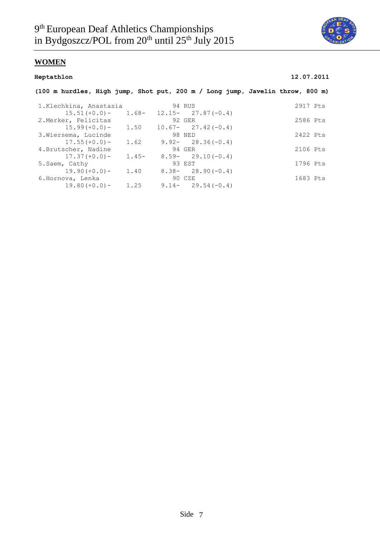

### **Heptathlon 12.07.2011**

| (100 m hurdles, High jump, Shot put, 200 m / Long jump, Javelin throw, 800 m) |         |                       |          |
|-------------------------------------------------------------------------------|---------|-----------------------|----------|
| 1.Klechkina, Anastasia                                                        |         | 94 RUS                | 2917 Pts |
| $15.51 (+0.0) -$                                                              | $1.68-$ | $12.15 - 27.87(-0.4)$ |          |
| 2. Merker, Felicitas                                                          |         | 92 GER                | 2586 Pts |
| $15.99 (+0.0) -$                                                              | 1.50    | $10.67 - 27.42(-0.4)$ |          |
| 3. Wiersema, Lucinde                                                          |         | 98 NED                | 2422 Pts |
| $17.55(+0.0)$ –                                                               | 1.62    | $9.92 - 28.36(-0.4)$  |          |
| 4. Brutscher, Nadine                                                          |         | 94 GER                | 2106 Pts |
| $17.37(+0.0)$ –                                                               | $1.45-$ | $8.59 - 29.10(-0.4)$  |          |
| 5. Saem, Cathy                                                                |         | 93 EST                | 1796 Pts |
| $19.90 (+0.0) -$                                                              | 1.40    | $8.38 - 28.90(-0.4)$  |          |
| 6.Hornova, Lenka                                                              |         | 90 CZE                | 1683 Pts |
| $19.80 (+0.0) -$                                                              | 1.25    | $9.14 - 29.54(-0.4)$  |          |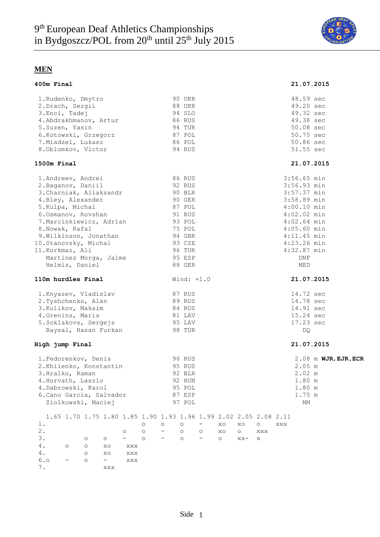

| 400m Final                                                       |                    |          |                              |                    |         |                    |         |         |         |         |     | 21.07.2015    |                      |  |
|------------------------------------------------------------------|--------------------|----------|------------------------------|--------------------|---------|--------------------|---------|---------|---------|---------|-----|---------------|----------------------|--|
| 1. Rudenko, Dmytro                                               |                    |          |                              |                    |         | 90 UKR             |         |         |         |         |     | 48.59 sec     |                      |  |
| 2.Drach, Sergii                                                  |                    |          |                              |                    |         | 88 UKR             |         |         |         |         |     | 49.20 sec     |                      |  |
| 3.Enci, Tadej                                                    |                    |          |                              |                    |         | 94 SLO             |         |         |         |         |     | 49.32 sec     |                      |  |
| 4.Abdrakhmanov, Artur<br>5.Suzen, Yasin                          |                    |          |                              |                    |         | 86 RUS             |         |         |         |         |     | 49.38 sec     |                      |  |
|                                                                  |                    |          |                              |                    |         | 94 TUR             |         |         |         |         |     | 50.08 sec     |                      |  |
| 6. Kotowski, Grzegorz 87 POL                                     |                    |          |                              |                    |         |                    |         |         |         |         |     | 50.75 sec     |                      |  |
| 7. Miadzel, Lukasz                                               |                    |          |                              |                    |         | 86 POL             |         |         |         |         |     | 50.86 sec     |                      |  |
| 8.Oblomkov, Victor                                               |                    |          |                              |                    |         | 94 RUS             |         |         |         |         |     | 51.55 sec     |                      |  |
| 1500m Final                                                      |                    |          |                              |                    |         |                    |         |         |         |         |     | 21.07.2015    |                      |  |
| 1. Andreev, Andrei                                               |                    |          |                              |                    |         | 86 RUS             |         |         |         |         |     | $3:56.65$ min |                      |  |
| 2. Baganov, Daniil                                               |                    |          |                              |                    |         | 92 RUS             |         |         |         |         |     | 3:56.93 min   |                      |  |
| 3. Charniak, Aliaksandr<br>4. Bley, Alexander                    |                    |          |                              |                    |         | 90 BLR             |         |         |         |         |     | 3:57.37 min   |                      |  |
|                                                                  |                    |          |                              |                    |         | 90 GER             |         |         |         |         |     | 3:58.89 min   |                      |  |
| 5.Kulpa, Michal                                                  |                    |          |                              |                    |         | 87 POL             |         |         |         |         |     | $4:00.10$ min |                      |  |
| 6.0smanov, Rovshan                                               |                    |          |                              |                    |         | 91 RUS             |         |         |         |         |     | $4:02.02$ min |                      |  |
| 7. Marcinkiewicz, Adrian 93 POL                                  |                    |          |                              |                    |         |                    |         |         |         |         |     | $4:02.64$ min |                      |  |
| 8. Nowak, Rafal                                                  |                    |          |                              |                    |         | 75 POL             |         |         |         |         |     | $4:05.60$ min |                      |  |
|                                                                  |                    |          |                              |                    |         | 94 GBR<br>93 CZE   |         |         |         |         |     | $4:11.45$ min |                      |  |
| 9.Wilkinson, Jonathan<br>10.Stanovsky, Michal<br>11.Korkmaz, Ali |                    |          |                              |                    |         |                    |         |         |         |         |     | $4:23.26$ min |                      |  |
| 11. Korkmaz, Ali                                                 |                    |          |                              |                    |         | 96 TUR             |         |         |         |         |     | $4:32.87$ min |                      |  |
| Martinez Morga, Jaime 95 ESP<br>Helmis, Daniel 88 GER            |                    |          |                              |                    |         |                    |         |         |         |         |     | DNF           |                      |  |
|                                                                  |                    |          |                              |                    |         |                    |         |         |         |         |     | MED           |                      |  |
| 110m hurdles Final                                               |                    |          |                              |                    |         | Wind: $+1.0$       |         |         |         |         |     | 21.07.2015    |                      |  |
| 1. Knyazev, Vladislav                                            |                    |          |                              |                    |         | 87 RUS             |         |         |         |         |     | 14.72 sec     |                      |  |
| 2.Tyshchenko, Alan                                               |                    |          |                              |                    |         | 89 RUS             |         |         |         |         |     | 14.78 sec     |                      |  |
| 3.Kulikov, Maksim                                                |                    |          |                              |                    |         | 84 RUS             |         |         |         |         |     | 14.91 sec     |                      |  |
| 4. Grenins, Maris                                                |                    |          |                              |                    |         | 81 LAV             |         |         |         |         |     | 15.24 sec     |                      |  |
| 5. Soklakovs, Sergejs                                            |                    |          |                              |                    |         | 95 LAV             |         |         |         |         |     | 17.23 sec     |                      |  |
| Baysal, Hasan Furkan                                             |                    |          |                              |                    |         | 98 TUR             |         |         |         |         |     | DQ            |                      |  |
| High jump Final                                                  |                    |          |                              |                    |         |                    |         |         |         |         |     | 21.07.2015    |                      |  |
| 1. Fedorenkov, Denis                                             |                    |          |                              |                    |         | 96 RUS             |         |         |         |         |     |               | 2.08 m WJR, EJR, ECR |  |
| 2. Khilenko, Konstantin                                          |                    |          |                              |                    |         | 95 RUS             |         |         |         |         |     | 2.05 m        |                      |  |
| 3.Hralko, Raman                                                  |                    |          |                              |                    |         | 92 BLR             |         |         |         |         |     | 2.02 m        |                      |  |
| 4. Horvath, Laszlo                                               |                    |          |                              |                    |         | 92 HUN             |         |         |         |         |     | 1.80 m        |                      |  |
| 4. Dabrowski, Karol                                              |                    |          |                              |                    |         | 95 POL             |         |         |         |         |     | 1.80 m        |                      |  |
| 6. Cano Garcia, Salvador                                         |                    |          |                              |                    |         | 87 ESP             |         |         |         |         |     | 1.75 m        |                      |  |
| Ziolkowski, Maciej                                               |                    |          |                              |                    |         | 97 POL             |         |         |         |         |     | NM            |                      |  |
| 1.65 1.70 1.75 1.80 1.85 1.90 1.93 1.96 1.99 2.02 2.05 2.08 2.11 |                    |          |                              |                    |         |                    |         |         |         |         |     |               |                      |  |
| $1$ .<br>$2$ .                                                   |                    |          |                              | $\circ$            | $\circ$ | $\circ$            |         | XO      | XO      | $\circ$ | XXX |               |                      |  |
| 3.                                                               |                    |          | $\circ$<br>$\qquad \qquad -$ | $\circ$<br>$\circ$ |         | $\circ$<br>$\circ$ | $\circ$ | XO      | $\circ$ | XXX     |     |               |                      |  |
| 4.<br>$\circ$                                                    | $\circ$<br>$\circ$ | $\circ$  | $_{\rm XXX}$                 |                    |         |                    |         | $\circ$ | $XX -$  | X       |     |               |                      |  |
| 4.                                                               | $\circ$            | XO<br>XO | $_{\rm XXX}$                 |                    |         |                    |         |         |         |         |     |               |                      |  |
| 6.0                                                              | $\circ$            | $-$      | XXX                          |                    |         |                    |         |         |         |         |     |               |                      |  |
| 7.                                                               |                    | XXX      |                              |                    |         |                    |         |         |         |         |     |               |                      |  |
|                                                                  |                    |          |                              |                    |         |                    |         |         |         |         |     |               |                      |  |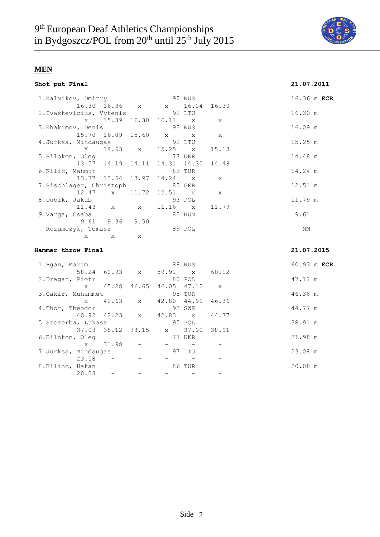

|  |  |  | Shot put Final |
|--|--|--|----------------|
|--|--|--|----------------|

| Shot put Final                 |                      |                                                                                                                                                                                                                                      |        |              | 21.07.2011  |
|--------------------------------|----------------------|--------------------------------------------------------------------------------------------------------------------------------------------------------------------------------------------------------------------------------------|--------|--------------|-------------|
| 1.Kalmikov, Dmitry             |                      | <b>92 RUS</b>                                                                                                                                                                                                                        |        |              | 16.36 m ECR |
|                                |                      | 16.30 16.36 x x 16.04 16.30                                                                                                                                                                                                          |        |              |             |
| 2.Ivaskevicius, Vytenis 92 LTU |                      |                                                                                                                                                                                                                                      |        |              | 16.30 m     |
|                                |                      | x 15.39 16.30 16.11 x x                                                                                                                                                                                                              |        |              |             |
| 3. Khakimov, Denis             |                      | <u>and the second second second second second second second second second second second second second second second second second second second second second second second second second second second second second second sec</u> |        |              | 16.09 m     |
|                                |                      | 15.70 16.09 15.60 x x x                                                                                                                                                                                                              |        |              |             |
| 4.Jurksa, Mindaugas 92 LTU     |                      |                                                                                                                                                                                                                                      |        |              | 15.25 m     |
|                                |                      | X 14.63 x 15.25 x                                                                                                                                                                                                                    |        | 15.13        |             |
| 5.Bilokon, Oleg                |                      |                                                                                                                                                                                                                                      | 77 UKR |              | 14.48 m     |
|                                |                      | 13.57 14.19 14.11 14.31 14.30 14.48                                                                                                                                                                                                  |        |              |             |
| 6.Kilic, Mahmut                |                      | and the set of 83 TUR                                                                                                                                                                                                                |        |              | 14.24 m     |
|                                |                      | 13.77 13.64 13.97 14.24 x x                                                                                                                                                                                                          |        |              |             |
| 7.Bischlager, Christoph 83 GER |                      |                                                                                                                                                                                                                                      |        |              | 12.51 m     |
|                                |                      | 12.47 x 11.72 12.51 x                                                                                                                                                                                                                |        | $\mathbf{x}$ |             |
| 8.Dubik, Jakub                 |                      |                                                                                                                                                                                                                                      | 93 POL |              | 11.79 m     |
|                                |                      | 11.43 x x 11.16 x                                                                                                                                                                                                                    |        | 11.79        |             |
| 9.Varqa, Csaba                 |                      |                                                                                                                                                                                                                                      | 83 HUN |              | 9.61        |
|                                | $9.61$ $9.36$ $9.50$ |                                                                                                                                                                                                                                      |        |              |             |
| Rozumczyk, Tomasz              |                      |                                                                                                                                                                                                                                      | 89 POL |              | ΝM          |
| X                              | $X$ $X$              |                                                                                                                                                                                                                                      |        |              |             |
|                                |                      |                                                                                                                                                                                                                                      |        |              |             |
| Hammer throw Final             |                      |                                                                                                                                                                                                                                      |        |              | 21.07.2015  |

#### 1.Bgan, Maxim 88 RUS 60.93 m **ECR** 58.24 60.93 x 59.92 x 60.12 2.Dragan, Piotr 80 POL 47.12 m x 45.28 46.65 46.05 47.12 x 3.Cakir, Muhammet 95 TUR 46.36 m x 42.63 x 42.80 44.99 46.36 4.Thor, Theodor 93 SWE 44.77 m 40.92 42.23 x 42.83 x 44.77 5.Szczerba, Lukasz 95 POL 38.91 m 37.03 38.12 38.15 x 37.00 38.91 6.Bilokon, Oleg 77 UKR 31.98 m  $x = 31.98 - - - - - -$ 7.Jurksa, Mindaugas 97 LTU 23.08 m  $23.08$  - - - - - -8.Kilinc, Hakan 20.08 m  $20.08$  - - - - - -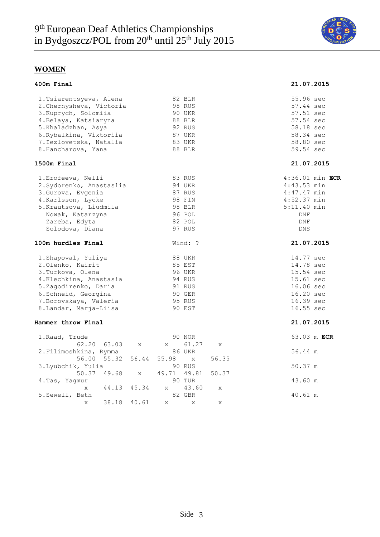

| 400m Final                                                                                                                                                                                              |                                                                                            | 21.07.2015                                                                                                               |
|---------------------------------------------------------------------------------------------------------------------------------------------------------------------------------------------------------|--------------------------------------------------------------------------------------------|--------------------------------------------------------------------------------------------------------------------------|
| 1. Tsiarentsyeva, Alena<br>2. Chernysheva, Victoria<br>3. Kuprych, Solomiia<br>4. Belaya, Katsiaryna<br>5.Khaladzhan, Asya<br>6. Rybalkina, Viktoriia<br>7. Iezlovetska, Natalia<br>8. Hancharova, Yana | 82 BLR<br>98 RUS<br>90 UKR<br>88 BLR<br>92 RUS<br>87 UKR<br>83 UKR<br>88 BLR               | 55.96 sec<br>57.44 sec<br>57.51 sec<br>57.54 sec<br>58.18 sec<br>58.34 sec<br>58.80 sec<br>59.54 sec                     |
| 1500m Final                                                                                                                                                                                             |                                                                                            | 21.07.2015                                                                                                               |
| 1. Erofeeva, Nelli<br>2. Sydorenko, Anastaslia<br>3. Gurova, Evgenia<br>4. Karlsson, Lycke<br>5. Krautsova, Liudmila<br>Nowak, Katarzyna<br>Zareba, Edyta<br>Solodova, Diana                            | 83 RUS<br>94 UKR<br>87 RUS<br>98 FIN<br>98 BLR<br>96 POL<br>82 POL<br>97 RUS               | $4:36.01$ min ECR<br>$4:43.53$ min<br>$4:47.47$ min<br>$4:52.37$ min<br>$5:11.40$ min<br><b>DNF</b><br>DNF<br><b>DNS</b> |
| 100m hurdles Final                                                                                                                                                                                      | Wind: ?                                                                                    | 21.07.2015                                                                                                               |
| 1. Shapoval, Yuliya<br>2.Olenko, Kairit<br>3. Turkova, Olena<br>4.Klechkina, Anastasia<br>5.Zagodirenko, Daria<br>6. Schneid, Georgina<br>7. Borovskaya, Valeria<br>8. Landar, Marja-Liisa              | <b>88 UKR</b><br>85 EST<br><b>96 UKR</b><br>94 RUS<br>91 RUS<br>90 GER<br>95 RUS<br>90 EST | 14.77 sec<br>14.78 sec<br>15.54 sec<br>15.61 sec<br>16.06 sec<br>16.20 sec<br>16.39 sec<br>16.55 sec                     |
| Hammer throw Final                                                                                                                                                                                      |                                                                                            | 21.07.2015                                                                                                               |
| 1. Raad, Trude<br>62.20<br>63.03<br>X<br>2.Filimoshkina, Rymma                                                                                                                                          | 90 NOR<br>61.27<br>X<br>X<br><b>86 UKR</b>                                                 | 63.03 m ECR<br>56.44 m                                                                                                   |
| 55.32<br>56.44<br>56.00<br>3. Lyubchik, Yulia<br>50.37<br>49.68<br>$\mathbf{x}$                                                                                                                         | 56.35<br>55.98<br>$\mathbf{x}$<br>90 RUS<br>49.71 49.81<br>50.37                           | 50.37 m                                                                                                                  |
| 4.Tas, Yaqmur<br>44.13<br>45.34<br>$\mathsf{x}$                                                                                                                                                         | 90 TUR<br>43.60<br>$\mathbf{x}$<br>X                                                       | 43.60 m                                                                                                                  |
| 5.Sewell, Beth<br>38.18<br>40.61<br>X                                                                                                                                                                   | 82 GBR<br>X<br>X<br>X                                                                      | 40.61 m                                                                                                                  |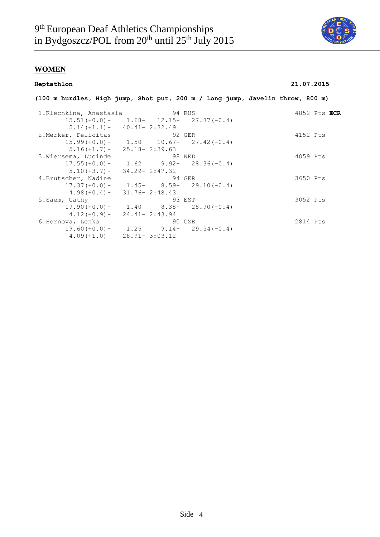

#### **Heptathlon 21.07.2015**

|                                |                                              |        | (100 m hurdles, High jump, Shot put, 200 m / Long jump, Javelin throw, 800 m) |
|--------------------------------|----------------------------------------------|--------|-------------------------------------------------------------------------------|
| 1.Klechkina, Anastasia 694 RUS |                                              |        | 4852 Pts ECR                                                                  |
|                                | $15.51 (+0.0) - 1.68 - 12.15 - 27.87 (-0.4)$ |        |                                                                               |
|                                | $5.14 (+1.1) - 40.41 - 2:32.49$              |        |                                                                               |
| 2.Merker, Felicitas            |                                              | 92 GER | 4152 Pts                                                                      |
|                                | $15.99 (+0.0) - 1.50$ $10.67 - 27.42 (-0.4)$ |        |                                                                               |
|                                | $5.16(+1.7) - 25.18 - 2:39.63$               |        |                                                                               |
| 3. Wiersema, Lucinde           | 98 NED                                       |        | 4059 Pts                                                                      |
|                                | $17.55(+0.0) - 1.62$ 9.92- 28.36(-0.4)       |        |                                                                               |
|                                | $5.10 (+3.7) - 34.29 - 2:47.32$              |        |                                                                               |
| 4.Brutscher, Nadine            | 94 GER                                       |        | 3650 Pts                                                                      |
|                                | $17.37 (+0.0) - 1.45 - 8.59 - 29.10 (-0.4)$  |        |                                                                               |
|                                | $4.98 (+0.4) - 31.76 - 2:48.43$              |        |                                                                               |
| 5.Saem, Cathy                  |                                              | 93 EST | 3052 Pts                                                                      |
|                                | $19.90 (+0.0) - 1.40$ $8.38 - 28.90 (-0.4)$  |        |                                                                               |
|                                | $4.12 (+0.9) - 24.41 - 2:43.94$              |        |                                                                               |
| 6.Hornova, Lenka               |                                              | 90 CZE | 2814 Pts                                                                      |
|                                | $19.60 (+0.0) - 1.25$ 9.14- 29.54(-0.4)      |        |                                                                               |
|                                | $4.09 (+1.0)$ $28.91 - 3:03.12$              |        |                                                                               |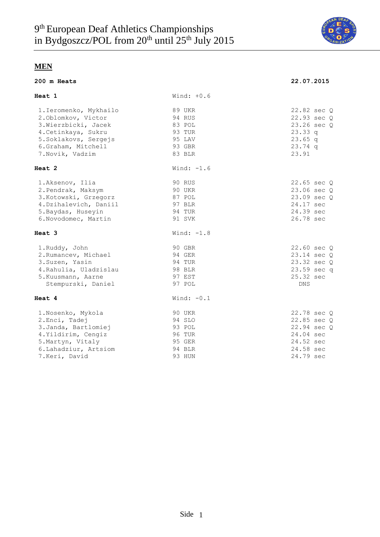

| 200 m Heats                                                                                                                                                     |                                                                           | 22.07.2015                                                                                    |
|-----------------------------------------------------------------------------------------------------------------------------------------------------------------|---------------------------------------------------------------------------|-----------------------------------------------------------------------------------------------|
| Heat 1                                                                                                                                                          | Wind: $+0.6$                                                              |                                                                                               |
| 1. Ieromenko, Mykhailo<br>2. Oblomkov, Victor<br>3. Wierzbicki, Jacek<br>4. Cetinkaya, Sukru<br>5. Soklakovs, Sergejs<br>6.Graham, Mitchell<br>7. Novik, Vadzim | 89 UKR<br>94 RUS<br>83 POL<br>93 TUR<br>95 LAV<br>93 GBR<br>83 BLR        | 22.82 sec Q<br>22.93 sec Q<br>23.26 sec Q<br>23.33q<br>$23.65$ q<br>$23.74$ q<br>23.91        |
| Heat 2                                                                                                                                                          | Wind: $-1.6$                                                              |                                                                                               |
| 1.Aksenov, Ilia<br>2. Pendrak, Maksym<br>3. Kotowski, Grzegorz<br>4. Dzihalevich, Daniil<br>5. Baydas, Huseyin<br>6. Novodomec, Martin                          | 90 RUS<br>90 UKR<br>87 POL<br>97 BLR<br>94 TUR<br>91 SVK                  | 22.65 sec Q<br>23.06 sec Q<br>23.09 sec Q<br>24.17 sec<br>24.39 sec<br>26.78 sec              |
| Heat 3                                                                                                                                                          | Wind: $-1.8$                                                              |                                                                                               |
| 1.Ruddy, John<br>2. Rumancev, Michael<br>3. Suzen, Yasin<br>4. Rahulia, Uladzislau<br>5. Kuusmann, Aarne<br>Stempurski, Daniel                                  | 90 GBR<br>94 GER<br>94 TUR<br>98 BLR<br>97 EST<br>97 POL                  | 22.60 sec Q<br>23.14 sec Q<br>23.32 sec Q<br>23.59 sec q<br>25.32 sec<br><b>DNS</b>           |
| Heat 4                                                                                                                                                          | Wind: $-0.1$                                                              |                                                                                               |
| 1. Nosenko, Mykola<br>2. Enci, Tadej<br>3. Janda, Bartlomiej<br>4. Yildirim, Cengiz<br>5. Martyn, Vitaly<br>6. Lahadziur, Artsiom<br>7.Keri, David              | 90 UKR<br>94 SLO<br>93 POL<br><b>96 TUR</b><br>95 GER<br>94 BLR<br>93 HUN | 22.78 sec Q<br>22.85 sec Q<br>22.94 sec Q<br>24.04 sec<br>24.52 sec<br>24.58 sec<br>24.79 sec |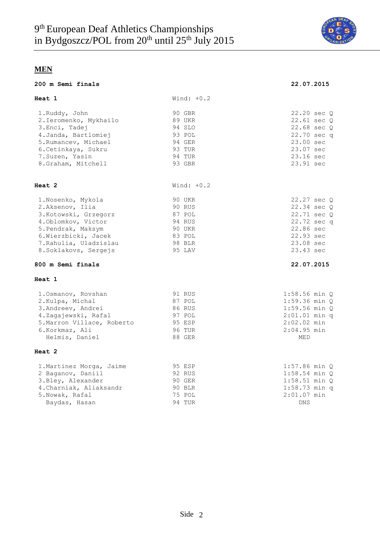

**200 m Semi finals 22.07.2015**

|  | 200 m Semi finals |
|--|-------------------|
|  |                   |

| Heat 1                                                                                                                                                                                | Wind: $+0.2$                                                                 |                                                                                                                                |
|---------------------------------------------------------------------------------------------------------------------------------------------------------------------------------------|------------------------------------------------------------------------------|--------------------------------------------------------------------------------------------------------------------------------|
| 1.Ruddy, John<br>2. Ieromenko, Mykhailo<br>3. Enci, Tadej<br>4. Janda, Bartlomiej<br>5. Rumancev, Michael<br>6. Cetinkaya, Sukru<br>7. Suzen, Yasin<br>8.Graham, Mitchell             | 90 GBR<br>89 UKR<br>94 SLO<br>93 POL<br>94 GER<br>93 TUR<br>94 TUR<br>93 GBR | 22.20 sec Q<br>22.61 sec Q<br>22.68 sec Q<br>22.70 sec q<br>23.00 sec<br>23.07 sec<br>23.16 sec<br>23.91 sec                   |
| Heat 2                                                                                                                                                                                | Wind: $+0.2$                                                                 |                                                                                                                                |
| 1.Nosenko, Mykola<br>2.Aksenov, Ilia<br>3. Kotowski, Grzegorz<br>4. Oblomkov, Victor<br>5. Pendrak, Maksym<br>6. Wierzbicki, Jacek<br>7. Rahulia, Uladzislau<br>8. Soklakovs, Sergejs | 90 UKR<br>90 RUS<br>87 POL<br>94 RUS<br>90 UKR<br>83 POL<br>98 BLR<br>95 LAV | 22.27 sec Q<br>22.34 sec Q<br>22.71 sec Q<br>22.72 sec q<br>22.86 sec<br>22.93 sec<br>23.08 sec<br>23.43 sec                   |
| 800 m Semi finals                                                                                                                                                                     |                                                                              | 22.07.2015                                                                                                                     |
| Heat 1                                                                                                                                                                                |                                                                              |                                                                                                                                |
| 1. Osmanov, Rovshan<br>2. Kulpa, Michal<br>3. Andreev, Andrei<br>4.Zagajewski, Rafal<br>5. Marron Villace, Roberto<br>6.Korkmaz, Ali<br>Helmis, Daniel                                | 91 RUS<br>87 POL<br>86 RUS<br>97 POL<br>95 ESP<br>96 TUR<br>88 GER           | $1:58.56$ min $Q$<br>$1:59.36$ min $Q$<br>$1:59.56$ min $Q$<br>$2:01.01$ min q<br>$2:02.02$ min<br>$2:04.95$ min<br><b>MED</b> |
| Heat 2                                                                                                                                                                                |                                                                              |                                                                                                                                |
| 1. Martinez Morga, Jaime<br>2 Baganov, Daniil<br>3.Bley, Alexander<br>4. Charniak, Aliaksandr<br>5. Nowak, Rafal<br>Baydas, Hasan                                                     | 95 ESP<br>92 RUS<br>90 GER<br>90 BLR<br>75 POL<br>94 TUR                     | $1:57.86$ min Q<br>$1:58.54$ min $Q$<br>$1:58.51$ min $Q$<br>$1:58.73$ min q<br>$2:01.07$ min<br>DNS                           |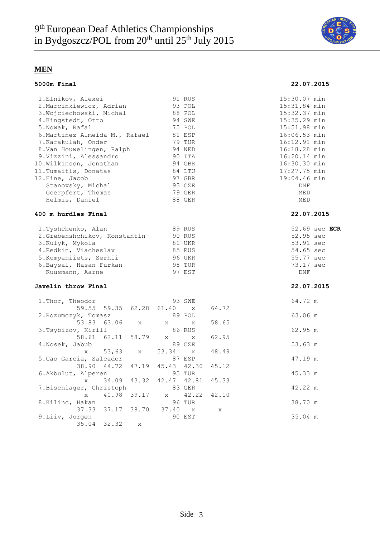

#### **5000m Final 22.07.2015** 1.Elnikov, Alexei 91 RUS 15:30.07 min 2.Marcinkiewicz, Adrian 93 POL 15:31.84 min 3.Wojciechowski, Michal 88 POL 15:32.37 min 4.Kingstedt, Otto 94 SWE 15:35.29 min 5.Nowak, Rafal 75 POL 15:51.98 min 6.Martinez Almeida M., Rafael 81 ESP 16:06.53 min 7.Karakulah, Onder 79 TUR 16:12.91 min 8.Van Houwelingen, Ralph 94 NED 16:18.28 min 9.Vizzini, Alessandro 90 ITA 16:20.14 min 10.Wilkinson, Jonathan 94 GBR 16:30.30 min<br>11.Tumaitis, Donatas 84 LTU 17:27.75 min 11. Tumaitis, Donatas 64 LTU 17:27.75 min<br>12. Hine, Jacob 97 GBR 19:04.46 min 12.Hine, Jacob 97 GBR 19:04.46 min<br>Stanovsky, Michal 93 CZE DNF Stanovsky, Michal 93 CZE DNF Goerpfert, Thomas 79 GER MED Helmis, Daniel 88 GER MED **400 m hurdles Final 22.07.2015** 1.Tyshchenko, Alan 89 RUS 52.69 sec **ECR**

| I.IVSHCHENKO, AIdH           | OY RUD        | コム・ロン |
|------------------------------|---------------|-------|
| 2.Grebenshchikov, Konstantin | <b>90 RUS</b> | 52.95 |
| 3.Kulyk, Mykola              | 81 UKR        | 53.91 |
| 4. Redkin, Viacheslav        | 85 RUS        | 54.65 |
| 5. Kompaniiets, Serhii       | <b>96 UKR</b> | 55.77 |
| 6.Baysal, Hasan Furkan       | 98 TUR        | 73.17 |
| Kuusmann, Aarne              | 97 EST        | DNF   |

#### **Javelin throw Final 22.07.2015**

| 1. Thor, Theodor                    | 93 SWE                        |              | 64.72 m |
|-------------------------------------|-------------------------------|--------------|---------|
| 59.55 59.35 62.28 61.40 x           |                               | 64.72        |         |
| 2. Rozumczyk, Tomasz                | 89 POL                        |              | 63.06 m |
| 53.83 63.06 x x x                   |                               | 58.65        |         |
| 3.Tsybizov, Kirill                  | 86 RUS                        |              | 62.95 m |
| 58.61 62.11 58.79 x x 62.95         |                               |              |         |
| 4.Nosek, Jabub                      | 89 CZE                        |              | 53.63 m |
|                                     | x 53,63 x 53.34 x 48.49       |              |         |
| 5. Cao Garcia, Salcador             | 87 ESP                        |              | 47.19 m |
| 38.90 44.72 47.19 45.43 42.30 45.12 |                               |              |         |
| 6.Akbulut, Alperen                  | 95 TUR                        |              | 45.33 m |
| $\mathbf x$                         | 34.09 43.32 42.47 42.81 45.33 |              |         |
| 7.Bischlager, Christoph             | 83 GER                        |              | 42.22 m |
| $\mathbf x$                         | 40.98 39.17 x 42.22 42.10     |              |         |
| 8.Kilinc, Hakan                     | 96 TUR                        |              | 38.70 m |
| 37.33 37.17 38.70 37.40 x           |                               | $\mathbf{x}$ |         |
| 9.Liiv, Jorgen                      | 90 EST                        |              | 35.04 m |
| $35.04$ $32.32$ x                   |                               |              |         |

52.95 sec 53.91 sec 54.65 sec 55.77 sec 73.17 sec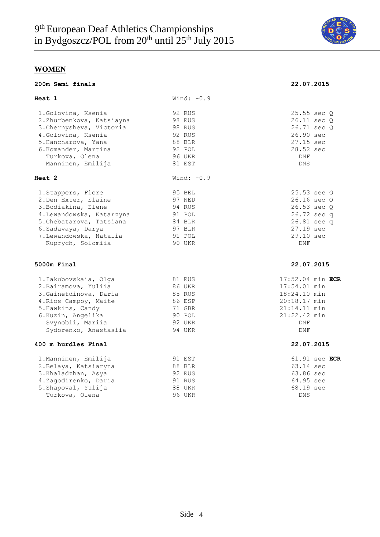

| 200m Semi finals                               |                  | 22.07.2015                 |
|------------------------------------------------|------------------|----------------------------|
| Heat 1                                         | Wind: $-0.9$     |                            |
| 1.Golovina, Ksenia<br>2.Zhurbenkova, Katsiayna | 92 RUS<br>98 RUS | 25.55 sec Q<br>26.11 sec Q |
| 3. Chernysheva, Victoria                       | 98 RUS           | 26.71 sec Q                |
| 4. Golovina, Ksenia                            | 92 RUS           | 26.90 sec                  |
| 5. Hancharova, Yana                            | 88 BLR           | 27.15 sec                  |
| 6.Komander, Martina                            | 92 POL           | 28.52 sec                  |
| Turkova, Olena                                 | 96 UKR           | <b>DNF</b>                 |
| Manninen, Emilija                              | 81 EST           | <b>DNS</b>                 |
| Heat 2                                         | Wind: $-0.9$     |                            |
| 1. Stappers, Flore                             | 95 BEL           | 25.53 sec Q                |
| 2. Den Exter, Elaine                           | 97 NED           | 26.16 sec 0                |
| 3. Bodiakina, Elene                            | 94 RUS           | 26.53 sec Q                |
| 4. Lewandowska, Katarzyna                      | 91 POL           | 26.72 sec q                |
| 5. Chebatarova, Tatsiana                       | 84 BLR           | 26.81 sec q                |
| 6. Sadavaya, Darya                             | 97 BLR           | 27.19 sec                  |
| 7. Lewandowska, Natalia                        | 91 POL           | 29.10 sec                  |
| Kuprych, Solomiia                              | 90 UKR           | DNF                        |
| 5000m Final                                    |                  | 22.07.2015                 |
| 1. Iakubovskaia, Olga                          | 81 RUS           | $17:52.04$ min ECR         |
| 2. Bairamova, Yuliia                           | 86 UKR           | 17:54.01 min               |
| 3. Gainetdinova, Daria                         | 85 RUS           | 18:24.10 min               |
| 4. Rios Campoy, Maite                          | 86 ESP           | 20:18.17 min               |
| 5. Hawkins, Candy                              | 71 GBR           | $21:14.11$ min             |
| 6.Kuzin, Angelika                              | 90 POL           | 21:22.42 min               |
| Svynobii, Mariia                               | 92 UKR           | DNF                        |
| Sydorenko, Anastasiia                          | 94 UKR           | <b>DNF</b>                 |
| 400 m hurdles Final                            |                  | 22.07.2015                 |
| 1. Manninen, Emilija                           | 91 EST           | 61.91 sec ECR              |
| 2. Belaya, Katsiaryna                          | 88 BLR           | 63.14 sec                  |

| 2.Belaya, Katsiaryna | 88 BLR | 63.14 sec  |
|----------------------|--------|------------|
| 3.Khaladzhan, Asya   | 92 RUS | 63.86 sec  |
| 4.Zagodirenko, Daria | 91 RUS | 64.95 sec  |
| 5.Shapoval, Yulija   | 88 UKR | 68.19 sec  |
| Turkova, Olena       | 96 UKR | <b>DNS</b> |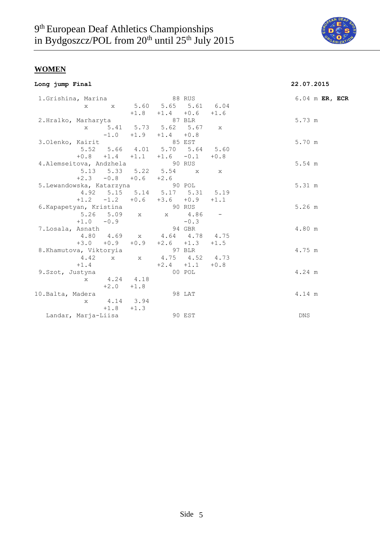

|  |  | Long jump Final |
|--|--|-----------------|
|--|--|-----------------|

# **Long jump Final 22.07.2015**

| 1.Grishina, Marina                  |              |                             |        |                                    | 88 RUS |              | 6.04 m ER, ECR |  |
|-------------------------------------|--------------|-----------------------------|--------|------------------------------------|--------|--------------|----------------|--|
|                                     | X            |                             |        | x 5.60 5.65 5.61 6.04              |        |              |                |  |
|                                     |              |                             |        | $+1.8$ $+1.4$ $+0.6$               |        | $+1.6$       |                |  |
| 2.Hralko, Marharyta                 |              |                             |        | 87 BLR                             |        |              | 5.73 m         |  |
|                                     | $\mathbf{x}$ |                             |        | 5.41 5.73 5.62 5.67                |        | $\mathbf{x}$ |                |  |
|                                     |              |                             |        | $-1.0$ $+1.9$ $+1.4$ $+0.8$        |        |              |                |  |
| 3.Olenko, Kairit                    |              |                             |        | 85 EST                             |        |              | 5.70 m         |  |
|                                     |              |                             |        | 5.52 5.66 4.01 5.70 5.64 5.60      |        |              |                |  |
|                                     |              |                             |        | $+0.8$ $+1.4$ $+1.1$ $+1.6$ $-0.1$ |        | $+0.8$       |                |  |
| 4.Alemseitova, Andzhela             |              |                             |        | 90 RUS                             |        |              | 5.54 m         |  |
|                                     |              |                             |        | 5.13 5.33 5.22 5.54 x x            |        |              |                |  |
|                                     |              | $+2.3$ $-0.8$ $+0.6$ $+2.6$ |        |                                    |        |              |                |  |
| 5.Lewandowska, Katarzyna and 90 POL |              |                             |        |                                    |        |              | 5.31 m         |  |
|                                     |              |                             |        | 4.92 5.15 5.14 5.17 5.31 5.19      |        |              |                |  |
|                                     |              |                             |        | $+1.2$ $-1.2$ $+0.6$ $+3.6$ $+0.9$ |        | $+1.1$       |                |  |
| 6. Kapapetyan, Kristina             |              |                             |        | 90 RUS                             |        |              | $5.26$ m       |  |
|                                     |              |                             |        | 5.26 5.09 x x 4.86                 |        |              |                |  |
|                                     |              | $+1.0 -0.9$                 |        |                                    | $-0.3$ |              |                |  |
| 7.Losala, Asnath                    |              |                             |        | 94 GBR                             |        |              | 4.80 m         |  |
|                                     |              |                             |        | 4.80 4.69 x 4.64 4.78 4.75         |        |              |                |  |
|                                     |              | $+3.0 + 0.9 + 0.9$          |        | $+2.6 +1.3$                        |        | $+1.5$       |                |  |
| 8.Khamutova, Viktoryia              |              |                             |        | 97 BLR                             |        |              | 4.75 m         |  |
|                                     |              |                             |        | 4.42 x x 4.75 4.52 4.73            |        |              |                |  |
|                                     | $+1.4$       |                             |        | $+2.4 +1.1$                        |        | $+0.8$       |                |  |
| 9.Szot, Justyna                     |              |                             |        |                                    | 00 POL |              | 4.24 m         |  |
|                                     |              | x 4.24 4.18                 |        |                                    |        |              |                |  |
|                                     |              | $+2.0$                      | $+1.8$ |                                    |        |              |                |  |
| 10.Balta, Madera                    |              |                             |        |                                    | 98 LAT |              | 4.14 m         |  |
|                                     | $\mathbf{x}$ | 4.14 3.94                   |        |                                    |        |              |                |  |
|                                     |              | $+1.8$                      | $+1.3$ |                                    |        |              |                |  |
| Landar, Marja-Liisa                 |              |                             |        |                                    | 90 EST |              | DNS            |  |
|                                     |              |                             |        |                                    |        |              |                |  |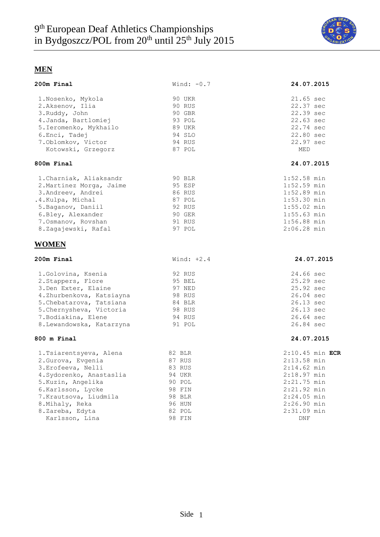

| 200m Final                | Wind: $-0.7$ | 24.07.2015        |
|---------------------------|--------------|-------------------|
| 1.Nosenko, Mykola         | 90 UKR       | 21.65 sec         |
| 2.Aksenov, Ilia           | 90 RUS       | 22.37 sec         |
| 3.Ruddy, John             | 90 GBR       | 22.39 sec         |
| 4. Janda, Bartlomiej      | 93 POL       | 22.63 sec         |
| 5. Ieromenko, Mykhailo    | 89 UKR       | 22.74 sec         |
| 6.Enci, Tadej             | 94 SLO       | 22.80 sec         |
| 7. Oblomkov, Victor       | 94 RUS       | 22.97 sec         |
| Kotowski, Grzegorz        | 87 POL       | <b>MED</b>        |
| 800m Final                |              | 24.07.2015        |
| 1. Charniak, Aliaksandr   | 90 BLR       | $1:52.58$ min     |
| 2. Martinez Morga, Jaime  | 95 ESP       | $1:52.59$ min     |
| 3. Andreev, Andrei        | 86 RUS       | $1:52.89$ min     |
| .4. Kulpa, Michal         | 87 POL       | $1:53.30$ min     |
| 5. Baganov, Daniil        | 92 RUS       | $1:55.02$ min     |
| 6.Bley, Alexander         | 90 GER       | $1:55.63$ min     |
| 7.0smanov, Rovshan        | 91 RUS       | $1:56.88$ min     |
| 8.Zagajewski, Rafal       | 97 POL       | $2:06.28$ min     |
| <b>WOMEN</b>              |              |                   |
| 200m Final                | Wind: $+2.4$ | 24.07.2015        |
| 1.Golovina, Ksenia        | 92 RUS       | 24.66 sec         |
| 2. Stappers, Flore        | 95 BEL       | 25.29 sec         |
| 3. Den Exter, Elaine      | 97 NED       | 25.92 sec         |
| 4.Zhurbenkova, Katsiayna  | 98 RUS       | 26.04 sec         |
| 5. Chebatarova, Tatsiana  | 84 BLR       | 26.13 sec         |
| 5. Chernysheva, Victoria  | 98 RUS       | 26.13 sec         |
| 7. Bodiakina, Elene       | 94 RUS       | 26.64 sec         |
| 8. Lewandowska, Katarzyna | 91 POL       | 26.84 sec         |
| 800 m Final               |              | 24.07.2015        |
| 1. Tsiarentsyeva, Alena   | 82 BLR       | $2:10.45$ min ECR |
| 2. Gurova, Evgenia        | 87 RUS       | $2:13.58$ min     |
| 3. Erofeeva, Nelli        | 83 RUS       | $2:14.62$ min     |
| 4. Sydorenko, Anastaslia  | 94 UKR       | $2:18.97$ min     |
| 5. Kuzin, Angelika        | 90 POL       | $2:21.75$ min     |
| 6.Karlsson, Lycke         | 98 FIN       | 2:21.92 min       |
| 7. Krautsova, Liudmila    | 98 BLR       | $2:24.05$ min     |
| 8. Mihaly, Reka           | 96 HUN       | $2:26.90$ min     |
| 8.Zareba, Edyta           | 82 POL       | $2:31.09$ min     |
| Karlsson, Lina            | 98 FIN       | DNF               |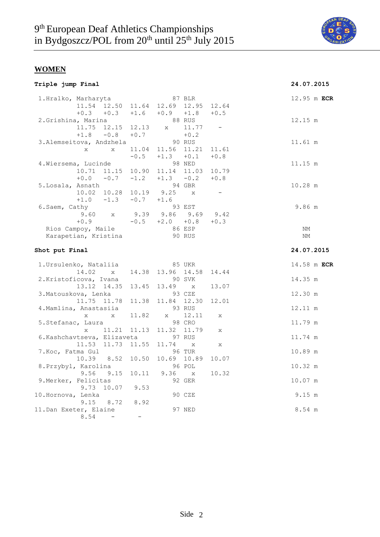

# **Triple jump Final 24.07.2015**

|                             | 87 BLR                                                                         |                                                                                                                                                                                                                     | 12.95 m ECR                                                                                                                                  |
|-----------------------------|--------------------------------------------------------------------------------|---------------------------------------------------------------------------------------------------------------------------------------------------------------------------------------------------------------------|----------------------------------------------------------------------------------------------------------------------------------------------|
|                             |                                                                                | 12.64                                                                                                                                                                                                               |                                                                                                                                              |
|                             |                                                                                | $+0.5$                                                                                                                                                                                                              |                                                                                                                                              |
|                             | 88 RUS                                                                         |                                                                                                                                                                                                                     | 12.15 m                                                                                                                                      |
| 12.13                       | x 11.77                                                                        | $-$                                                                                                                                                                                                                 |                                                                                                                                              |
| $+0.7$                      |                                                                                |                                                                                                                                                                                                                     |                                                                                                                                              |
|                             | 90 RUS                                                                         |                                                                                                                                                                                                                     | 11.61 m                                                                                                                                      |
|                             |                                                                                | 11.61                                                                                                                                                                                                               |                                                                                                                                              |
|                             | $+1.3 +0.1$                                                                    | $+0.8$                                                                                                                                                                                                              |                                                                                                                                              |
|                             |                                                                                |                                                                                                                                                                                                                     | 11.15 m                                                                                                                                      |
|                             |                                                                                |                                                                                                                                                                                                                     |                                                                                                                                              |
|                             |                                                                                |                                                                                                                                                                                                                     |                                                                                                                                              |
|                             |                                                                                |                                                                                                                                                                                                                     | 10.28 m                                                                                                                                      |
|                             | $\mathbf{X}$                                                                   |                                                                                                                                                                                                                     |                                                                                                                                              |
|                             |                                                                                |                                                                                                                                                                                                                     |                                                                                                                                              |
|                             |                                                                                |                                                                                                                                                                                                                     | 9.86 m                                                                                                                                       |
|                             |                                                                                |                                                                                                                                                                                                                     |                                                                                                                                              |
|                             |                                                                                |                                                                                                                                                                                                                     |                                                                                                                                              |
|                             |                                                                                |                                                                                                                                                                                                                     | NΜ                                                                                                                                           |
|                             |                                                                                |                                                                                                                                                                                                                     | ΝM                                                                                                                                           |
|                             |                                                                                |                                                                                                                                                                                                                     |                                                                                                                                              |
|                             |                                                                                |                                                                                                                                                                                                                     | 24.07.2015                                                                                                                                   |
|                             | 85 UKR                                                                         |                                                                                                                                                                                                                     | 14.58 m ECR                                                                                                                                  |
|                             |                                                                                |                                                                                                                                                                                                                     |                                                                                                                                              |
|                             | 14.38 13.96 14.58                                                              | 14.44                                                                                                                                                                                                               |                                                                                                                                              |
|                             | 90 SVK                                                                         |                                                                                                                                                                                                                     | 14.35 m                                                                                                                                      |
| 13.12 14.35<br>13.45        | 13.49<br>$\mathsf X$                                                           | 13.07                                                                                                                                                                                                               |                                                                                                                                              |
|                             | 93 CZE                                                                         |                                                                                                                                                                                                                     | 12.30 m                                                                                                                                      |
| 11.75 11.78<br>11.38        | 11.84 12.30                                                                    | 12.01                                                                                                                                                                                                               |                                                                                                                                              |
|                             | 93 RUS                                                                         |                                                                                                                                                                                                                     | 12.11 m                                                                                                                                      |
| 11.82                       | x 12.11                                                                        | $\mathbf{x}$                                                                                                                                                                                                        |                                                                                                                                              |
|                             | 98 CRO                                                                         |                                                                                                                                                                                                                     | 11.79 m                                                                                                                                      |
| 11.13<br>11.21              | 11.32 11.79                                                                    | X                                                                                                                                                                                                                   |                                                                                                                                              |
| 6. Kashchavtseva, Elizaveta | 97 RUS                                                                         |                                                                                                                                                                                                                     | 11.74 m                                                                                                                                      |
| 11.53 11.73<br>11.55        | 11.74<br>$\mathsf X$                                                           | X                                                                                                                                                                                                                   |                                                                                                                                              |
|                             | <b>96 TUR</b>                                                                  |                                                                                                                                                                                                                     | 10.89 m                                                                                                                                      |
| 10.39 8.52<br>10.50         | 10.69 10.89                                                                    | 10.07                                                                                                                                                                                                               |                                                                                                                                              |
|                             | 96 POL                                                                         |                                                                                                                                                                                                                     | 10.32 m                                                                                                                                      |
| 9.15<br>10.11               | 9.36 x                                                                         | 10.32                                                                                                                                                                                                               |                                                                                                                                              |
|                             | 92 GER                                                                         |                                                                                                                                                                                                                     | 10.07 m                                                                                                                                      |
| 9.53<br>10.07               |                                                                                |                                                                                                                                                                                                                     |                                                                                                                                              |
|                             | 90 CZE                                                                         |                                                                                                                                                                                                                     | 9.15 m                                                                                                                                       |
| 8.72<br>8.92                |                                                                                |                                                                                                                                                                                                                     |                                                                                                                                              |
|                             | 97 NED                                                                         |                                                                                                                                                                                                                     | 8.54 m                                                                                                                                       |
|                             | 11.75 12.15<br>$+1.8 -0.8$<br>3. Alemseitova, Andzhela<br>Karapetian, Kristina | 11.54 12.50 11.64 12.69<br>$+0.2$<br>11.04 11.56 11.21<br>$-0.5$<br>98 NED<br>$+0.0 -0.7 -1.2$<br>94 GBR<br>10.02 10.28 10.19 9.25<br>$+1.0$ $-1.3$ $-0.7$ $+1.6$<br>93 EST<br>$-0.5 +2.0 +0.8$<br>86 ESP<br>90 RUS | 12.95<br>$+0.3$ $+0.3$ $+1.6$ $+0.9$ $+1.8$<br>10.71 11.15 10.90 11.14 11.03 10.79<br>$+1.3 -0.2$<br>$+0.8$<br>9.39 9.86 9.69 9.42<br>$+0.3$ |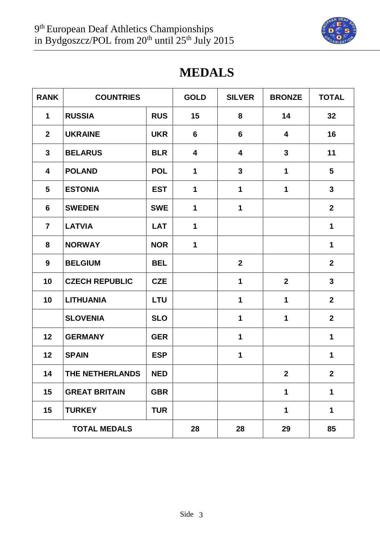

# **MEDALS**

| <b>RANK</b>    | <b>COUNTRIES</b>      |            | <b>GOLD</b> | <b>SILVER</b>    | <b>BRONZE</b>           | <b>TOTAL</b>   |
|----------------|-----------------------|------------|-------------|------------------|-------------------------|----------------|
| $\mathbf 1$    | <b>RUSSIA</b>         | <b>RUS</b> | 15          | 8                | 14                      | 32             |
| $\mathbf{2}$   | <b>UKRAINE</b>        | <b>UKR</b> | 6           | $6\phantom{1}$   | $\overline{\mathbf{4}}$ | 16             |
| $\mathbf{3}$   | <b>BELARUS</b>        | <b>BLR</b> | 4           | 4                | $\mathbf{3}$            | 11             |
| 4              | <b>POLAND</b>         | <b>POL</b> | 1           | $\mathbf{3}$     | 1                       | 5              |
| 5              | <b>ESTONIA</b>        | <b>EST</b> | 1           | $\mathbf 1$      | 1                       | $\mathbf{3}$   |
| 6              | <b>SWEDEN</b>         | <b>SWE</b> | 1           | 1                |                         | $\overline{2}$ |
| $\overline{7}$ | <b>LATVIA</b>         | <b>LAT</b> | $\mathbf 1$ |                  |                         | $\mathbf 1$    |
| 8              | <b>NORWAY</b>         | <b>NOR</b> | 1           |                  |                         | 1              |
| 9              | <b>BELGIUM</b>        | <b>BEL</b> |             | $\boldsymbol{2}$ |                         | $\mathbf{2}$   |
| 10             | <b>CZECH REPUBLIC</b> | <b>CZE</b> |             | $\mathbf 1$      | $\mathbf{2}$            | $\mathbf{3}$   |
| 10             | <b>LITHUANIA</b>      | <b>LTU</b> |             | 1                | 1                       | $\mathbf{2}$   |
|                | <b>SLOVENIA</b>       | <b>SLO</b> |             | $\mathbf 1$      | 1                       | $\overline{2}$ |
| 12             | <b>GERMANY</b>        | <b>GER</b> |             | 1                |                         | 1              |
| 12             | <b>SPAIN</b>          | <b>ESP</b> |             | $\mathbf 1$      |                         | 1              |
| 14             | THE NETHERLANDS       | <b>NED</b> |             |                  | $2^{\circ}$             | $\mathbf{2}$   |
| 15             | <b>GREAT BRITAIN</b>  | <b>GBR</b> |             |                  | 1                       | 1              |
| 15             | <b>TURKEY</b>         | <b>TUR</b> |             |                  | 1                       | 1              |
|                | <b>TOTAL MEDALS</b>   |            | 28          | 28               | 29                      | 85             |